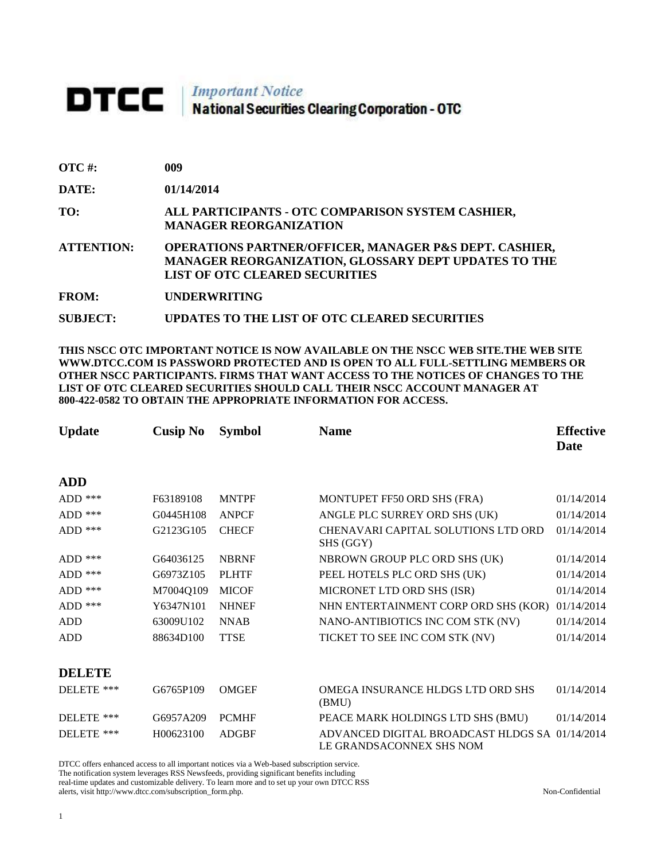## **DTCC** National Securities Clearing Corporation - OTC

| <b>OTC</b> #:     | 009                                                                                                                                                                       |
|-------------------|---------------------------------------------------------------------------------------------------------------------------------------------------------------------------|
| <b>DATE:</b>      | 01/14/2014                                                                                                                                                                |
| TO:               | ALL PARTICIPANTS - OTC COMPARISON SYSTEM CASHIER,<br><b>MANAGER REORGANIZATION</b>                                                                                        |
| <b>ATTENTION:</b> | <b>OPERATIONS PARTNER/OFFICER, MANAGER P&amp;S DEPT. CASHIER,</b><br><b>MANAGER REORGANIZATION, GLOSSARY DEPT UPDATES TO THE</b><br><b>LIST OF OTC CLEARED SECURITIES</b> |
| FROM:             | <b>UNDERWRITING</b>                                                                                                                                                       |

**SUBJECT: UPDATES TO THE LIST OF OTC CLEARED SECURITIES**

**THIS NSCC OTC IMPORTANT NOTICE IS NOW AVAILABLE ON THE NSCC WEB SITE.THE WEB SITE WWW.DTCC.COM IS PASSWORD PROTECTED AND IS OPEN TO ALL FULL-SETTLING MEMBERS OR OTHER NSCC PARTICIPANTS. FIRMS THAT WANT ACCESS TO THE NOTICES OF CHANGES TO THE LIST OF OTC CLEARED SECURITIES SHOULD CALL THEIR NSCC ACCOUNT MANAGER AT 800-422-0582 TO OBTAIN THE APPROPRIATE INFORMATION FOR ACCESS.** 

| <b>Update</b> | <b>Cusip No</b> | <b>Symbol</b> | <b>Name</b>                                                                | <b>Effective</b><br>Date |
|---------------|-----------------|---------------|----------------------------------------------------------------------------|--------------------------|
| <b>ADD</b>    |                 |               |                                                                            |                          |
| ADD $***$     | F63189108       | <b>MNTPF</b>  | MONTUPET FF50 ORD SHS (FRA)                                                | 01/14/2014               |
| $ADD$ ***     | G0445H108       | <b>ANPCF</b>  | ANGLE PLC SURREY ORD SHS (UK)                                              | 01/14/2014               |
| $ADD$ ***     | G2123G105       | <b>CHECF</b>  | <b>CHENAVARI CAPITAL SOLUTIONS LTD ORD</b><br>SHS (GGY)                    | 01/14/2014               |
| $ADD$ ***     | G64036125       | <b>NBRNF</b>  | NBROWN GROUP PLC ORD SHS (UK)                                              | 01/14/2014               |
| ADD $***$     | G6973Z105       | <b>PLHTF</b>  | PEEL HOTELS PLC ORD SHS (UK)                                               | 01/14/2014               |
| ADD ***       | M7004Q109       | <b>MICOF</b>  | MICRONET LTD ORD SHS (ISR)                                                 | 01/14/2014               |
| $ADD$ ***     | Y6347N101       | <b>NHNEF</b>  | NHN ENTERTAINMENT CORP ORD SHS (KOR)                                       | 01/14/2014               |
| <b>ADD</b>    | 63009U102       | <b>NNAB</b>   | NANO-ANTIBIOTICS INC COM STK (NV)                                          | 01/14/2014               |
| <b>ADD</b>    | 88634D100       | <b>TTSE</b>   | TICKET TO SEE INC COM STK (NV)                                             | 01/14/2014               |
| <b>DELETE</b> |                 |               |                                                                            |                          |
| DELETE ***    | G6765P109       | <b>OMGEF</b>  | OMEGA INSURANCE HLDGS LTD ORD SHS<br>(BMU)                                 | 01/14/2014               |
| DELETE ***    | G6957A209       | <b>PCMHF</b>  | PEACE MARK HOLDINGS LTD SHS (BMU)                                          | 01/14/2014               |
| DELETE ***    | H00623100       | <b>ADGBF</b>  | ADVANCED DIGITAL BROADCAST HLDGS SA 01/14/2014<br>LE GRANDSACONNEX SHS NOM |                          |

DTCC offers enhanced access to all important notices via a Web-based subscription service.

The notification system leverages RSS Newsfeeds, providing significant benefits including real-time updates and customizable delivery. To learn more and to set up your own DTCC RSS

alerts, visit http://www.dtcc.com/subscription\_form.php. Non-Confidential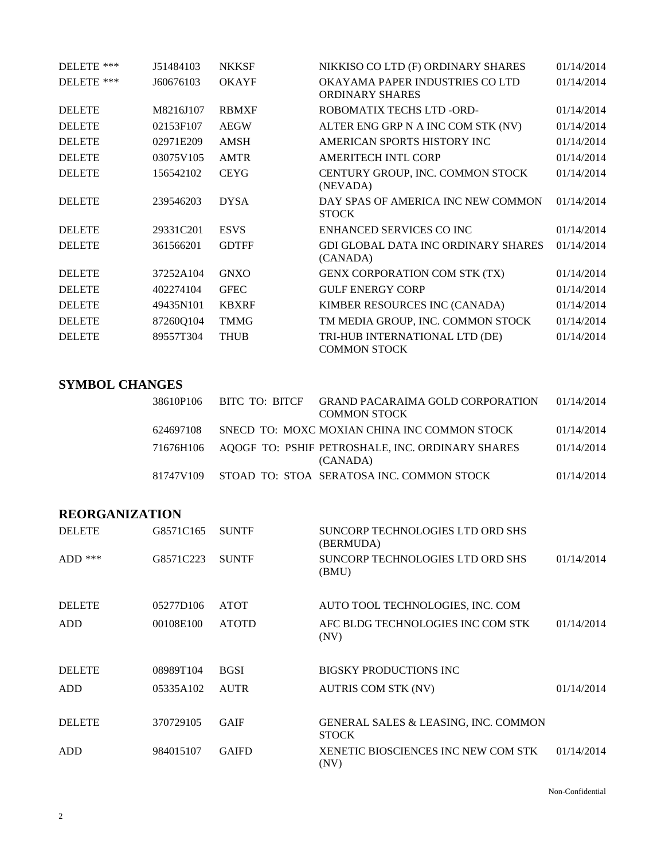| DELETE ***    | J51484103 | <b>NKKSF</b> | NIKKISO CO LTD (F) ORDINARY SHARES                        | 01/14/2014 |
|---------------|-----------|--------------|-----------------------------------------------------------|------------|
| DELETE ***    | J60676103 | <b>OKAYF</b> | OKAYAMA PAPER INDUSTRIES CO LTD<br><b>ORDINARY SHARES</b> | 01/14/2014 |
| <b>DELETE</b> | M8216J107 | <b>RBMXF</b> | ROBOMATIX TECHS LTD -ORD-                                 | 01/14/2014 |
| <b>DELETE</b> | 02153F107 | <b>AEGW</b>  | ALTER ENG GRP N A INC COM STK (NV)                        | 01/14/2014 |
| <b>DELETE</b> | 02971E209 | <b>AMSH</b>  | AMERICAN SPORTS HISTORY INC                               | 01/14/2014 |
| <b>DELETE</b> | 03075V105 | <b>AMTR</b>  | <b>AMERITECH INTL CORP</b>                                | 01/14/2014 |
| <b>DELETE</b> | 156542102 | <b>CEYG</b>  | CENTURY GROUP, INC. COMMON STOCK<br>(NEVADA)              | 01/14/2014 |
| <b>DELETE</b> | 239546203 | <b>DYSA</b>  | DAY SPAS OF AMERICA INC NEW COMMON<br><b>STOCK</b>        | 01/14/2014 |
| <b>DELETE</b> | 29331C201 | <b>ESVS</b>  | ENHANCED SERVICES CO INC                                  | 01/14/2014 |
| <b>DELETE</b> | 361566201 | <b>GDTFF</b> | <b>GDI GLOBAL DATA INC ORDINARY SHARES</b><br>(CANADA)    | 01/14/2014 |
| <b>DELETE</b> | 37252A104 | <b>GNXO</b>  | <b>GENX CORPORATION COM STK (TX)</b>                      | 01/14/2014 |
| <b>DELETE</b> | 402274104 | <b>GFEC</b>  | <b>GULF ENERGY CORP</b>                                   | 01/14/2014 |
| <b>DELETE</b> | 49435N101 | <b>KBXRF</b> | KIMBER RESOURCES INC (CANADA)                             | 01/14/2014 |
| <b>DELETE</b> | 87260Q104 | <b>TMMG</b>  | TM MEDIA GROUP, INC. COMMON STOCK                         | 01/14/2014 |
| <b>DELETE</b> | 89557T304 | <b>THUB</b>  | TRI-HUB INTERNATIONAL LTD (DE)<br><b>COMMON STOCK</b>     | 01/14/2014 |

## **SYMBOL CHANGES**

| 38610P106 | BITC TO: BITCF | GRAND PACARAIMA GOLD CORPORATION<br><b>COMMON STOCK</b>                | 01/14/2014 |
|-----------|----------------|------------------------------------------------------------------------|------------|
| 624697108 |                | SNECD TO: MOXC MOXIAN CHINA INC COMMON STOCK                           | 01/14/2014 |
|           |                | 71676H106 AQOGF TO: PSHIF PETROSHALE, INC. ORDINARY SHARES<br>(CANADA) | 01/14/2014 |
| 81747V109 |                | STOAD TO: STOA SERATOSA INC. COMMON STOCK                              | 01/14/2014 |

## **REORGANIZATION**

| <b>DELETE</b> | G8571C165 | <b>SUNTF</b> | SUNCORP TECHNOLOGIES LTD ORD SHS<br>(BERMUDA)                   |            |
|---------------|-----------|--------------|-----------------------------------------------------------------|------------|
| $ADD$ ***     | G8571C223 | <b>SUNTF</b> | <b>SUNCORP TECHNOLOGIES LTD ORD SHS</b><br>(BMU)                | 01/14/2014 |
| <b>DELETE</b> | 05277D106 | <b>ATOT</b>  | AUTO TOOL TECHNOLOGIES, INC. COM                                |            |
| ADD           | 00108E100 | <b>ATOTD</b> | AFC BLDG TECHNOLOGIES INC COM STK<br>(NV)                       | 01/14/2014 |
| <b>DELETE</b> | 08989T104 | <b>BGSI</b>  | <b>BIGSKY PRODUCTIONS INC.</b>                                  |            |
| <b>ADD</b>    | 05335A102 | <b>AUTR</b>  | <b>AUTRIS COM STK (NV)</b>                                      | 01/14/2014 |
| <b>DELETE</b> | 370729105 | <b>GAIF</b>  | <b>GENERAL SALES &amp; LEASING, INC. COMMON</b><br><b>STOCK</b> |            |
| ADD           | 984015107 | <b>GAIFD</b> | <b>XENETIC BIOSCIENCES INC NEW COM STK</b><br>(NV)              | 01/14/2014 |

Non-Confidential